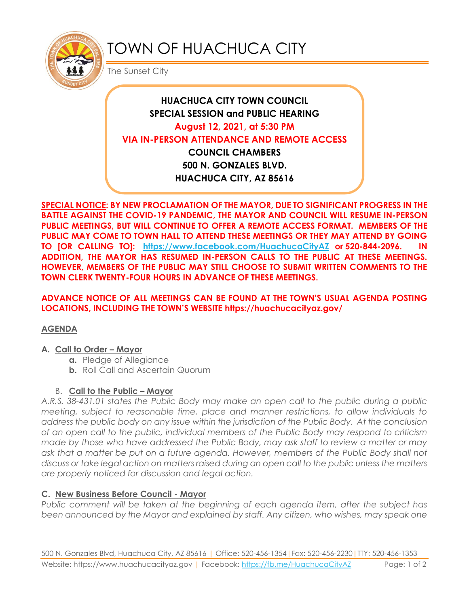

# TOWN OF HUACHUCA CITY

The Sunset City

## **HUACHUCA CITY TOWN COUNCIL SPECIAL SESSION and PUBLIC HEARING August 12, 2021, at 5:30 PM VIA IN-PERSON ATTENDANCE AND REMOTE ACCESS COUNCIL CHAMBERS 500 N. GONZALES BLVD. HUACHUCA CITY, AZ 85616**

**SPECIAL NOTICE: BY NEW PROCLAMATION OF THE MAYOR, DUE TO SIGNIFICANT PROGRESS IN THE BATTLE AGAINST THE COVID-19 PANDEMIC, THE MAYOR AND COUNCIL WILL RESUME IN-PERSON PUBLIC MEETINGS, BUT WILL CONTINUE TO OFFER A REMOTE ACCESS FORMAT. MEMBERS OF THE PUBLIC MAY COME TO TOWN HALL TO ATTEND THESE MEETINGS OR THEY MAY ATTEND BY GOING TO [OR CALLING TO]: <https://www.facebook.com/HuachucaCityAZ> or 520-844-2096. IN ADDITION, THE MAYOR HAS RESUMED IN-PERSON CALLS TO THE PUBLIC AT THESE MEETINGS. HOWEVER, MEMBERS OF THE PUBLIC MAY STILL CHOOSE TO SUBMIT WRITTEN COMMENTS TO THE TOWN CLERK TWENTY-FOUR HOURS IN ADVANCE OF THESE MEETINGS.** 

**ADVANCE NOTICE OF ALL MEETINGS CAN BE FOUND AT THE TOWN'S USUAL AGENDA POSTING LOCATIONS, INCLUDING THE TOWN'S WEBSITE https://huachucacityaz.gov/**

#### **AGENDA**

#### **A. Call to Order – Mayor**

- **a.** Pledge of Allegiance
- **b.** Roll Call and Ascertain Quorum

#### B. **Call to the Public – Mayor**

*A.R.S. 38-431.01 states the Public Body may make an open call to the public during a public meeting, subject to reasonable time, place and manner restrictions, to allow individuals to address the public body on any issue within the jurisdiction of the Public Body. At the conclusion of an open call to the public, individual members of the Public Body may respond to criticism made by those who have addressed the Public Body, may ask staff to review a matter or may ask that a matter be put on a future agenda. However, members of the Public Body shall not discuss or take legal action on matters raised during an open call to the public unless the matters are properly noticed for discussion and legal action.*

#### **C. New Business Before Council - Mayor**

*Public comment will be taken at the beginning of each agenda item, after the subject has*  been announced by the Mayor and explained by staff. Any citizen, who wishes, may speak one